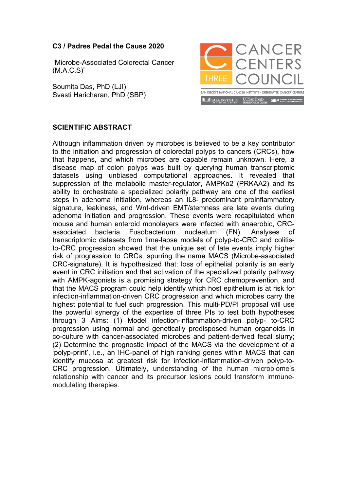## **C3 / Padres Pedal the Cause 2020**

"Microbe-Associated Colorectal Cancer (M.A.C.S)"

Soumita Das, PhD (LJI) Svasti Haricharan, PhD (SBP)



## **SCIENTIFIC ABSTRACT**

Although inflammation driven by microbes is believed to be a key contributor to the initiation and progression of colorectal polyps to cancers (CRCs), how that happens, and which microbes are capable remain unknown. Here, a disease map of colon polyps was built by querying human transcriptomic datasets using unbiased computational approaches. It revealed that suppression of the metabolic master-regulator, AMPKα2 (PRKAA2) and its ability to orchestrate a specialized polarity pathway are one of the earliest steps in adenoma initiation, whereas an IL8- predominant proinflammatory signature, leakiness, and Wnt-driven EMT/stemness are late events during adenoma initiation and progression. These events were recapitulated when mouse and human enteroid monolayers were infected with anaerobic, CRCassociated bacteria Fusobacterium nucleatum (FN). Analyses of transcriptomic datasets from time-lapse models of polyp-to-CRC and colitisto-CRC progression showed that the unique set of late events imply higher risk of progression to CRCs, spurring the name MACS (Microbe-associated CRC-signature). It is hypothesized that: loss of epithelial polarity is an early event in CRC initiation and that activation of the specialized polarity pathway with AMPK-agonists is a promising strategy for CRC chemoprevention, and that the MACS program could help identify which host epithelium is at risk for infection-inflammation-driven CRC progression and which microbes carry the highest potential to fuel such progression. This multi-PD/PI proposal will use the powerful synergy of the expertise of three PIs to test both hypotheses through 3 Aims: (1) Model infection-inflammation-driven polyp- to-CRC progression using normal and genetically predisposed human organoids in co-culture with cancer-associated microbes and patient-derived fecal slurry; (2) Determine the prognostic impact of the MACS via the development of a 'polyp-print', i.e., an IHC-panel of high ranking genes within MACS that can identify mucosa at greatest risk for infection-inflammation-driven polyp-to-CRC progression. Ultimately, understanding of the human microbiome's relationship with cancer and its precursor lesions could transform immunemodulating therapies.